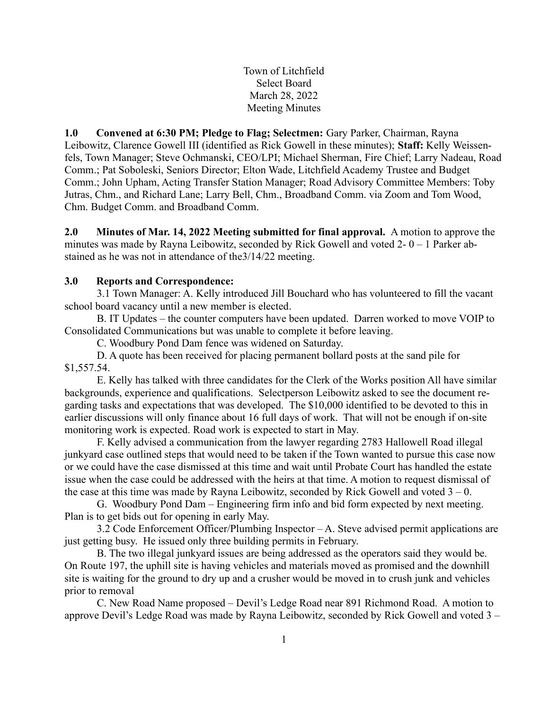Town of Litchfield Select Board March 28, 2022 Meeting Minutes

1.0 Convened at 6:30 PM; Pledge to Flag; Selectmen: Gary Parker, Chairman, Rayna Leibowitz, Clarence Gowell III (identified as Rick Gowell in these minutes); Staff: Kelly Weissenfels, Town Manager; Steve Ochmanski, CEO/LPI; Michael Sherman, Fire Chief; Larry Nadeau, Road Comm.; Pat Soboleski, Seniors Director; Elton Wade, Litchfield Academy Trustee and Budget Comm.; John Upham, Acting Transfer Station Manager; Road Advisory Committee Members: Toby Jutras, Chm., and Richard Lane; Larry Bell, Chm., Broadband Comm. via Zoom and Tom Wood, Chm. Budget Comm. and Broadband Comm.

2.0 Minutes of Mar. 14, 2022 Meeting submitted for final approval. A motion to approve the minutes was made by Rayna Leibowitz, seconded by Rick Gowell and voted  $2 - 0 - 1$  Parker abstained as he was not in attendance of the3/14/22 meeting.

# 3.0 Reports and Correspondence:

3.1 Town Manager: A. Kelly introduced Jill Bouchard who has volunteered to fill the vacant school board vacancy until a new member is elected.

B. IT Updates – the counter computers have been updated. Darren worked to move VOIP to Consolidated Communications but was unable to complete it before leaving.

C. Woodbury Pond Dam fence was widened on Saturday.

D. A quote has been received for placing permanent bollard posts at the sand pile for \$1,557.54.

E. Kelly has talked with three candidates for the Clerk of the Works position All have similar backgrounds, experience and qualifications. Selectperson Leibowitz asked to see the document regarding tasks and expectations that was developed. The \$10,000 identified to be devoted to this in earlier discussions will only finance about 16 full days of work. That will not be enough if on-site monitoring work is expected. Road work is expected to start in May.

F. Kelly advised a communication from the lawyer regarding 2783 Hallowell Road illegal junkyard case outlined steps that would need to be taken if the Town wanted to pursue this case now or we could have the case dismissed at this time and wait until Probate Court has handled the estate issue when the case could be addressed with the heirs at that time. A motion to request dismissal of the case at this time was made by Rayna Leibowitz, seconded by Rick Gowell and voted  $3 - 0$ .

G. Woodbury Pond Dam – Engineering firm info and bid form expected by next meeting. Plan is to get bids out for opening in early May.

3.2 Code Enforcement Officer/Plumbing Inspector – A. Steve advised permit applications are just getting busy. He issued only three building permits in February.

B. The two illegal junkyard issues are being addressed as the operators said they would be. On Route 197, the uphill site is having vehicles and materials moved as promised and the downhill site is waiting for the ground to dry up and a crusher would be moved in to crush junk and vehicles prior to removal

C. New Road Name proposed – Devil's Ledge Road near 891 Richmond Road. A motion to approve Devil's Ledge Road was made by Rayna Leibowitz, seconded by Rick Gowell and voted 3 –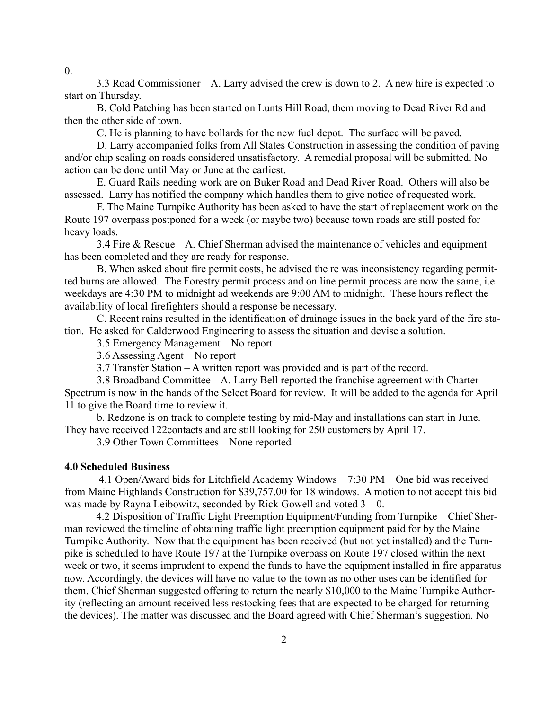3.3 Road Commissioner – A. Larry advised the crew is down to 2. A new hire is expected to start on Thursday.

B. Cold Patching has been started on Lunts Hill Road, them moving to Dead River Rd and then the other side of town.

C. He is planning to have bollards for the new fuel depot. The surface will be paved.

D. Larry accompanied folks from All States Construction in assessing the condition of paving and/or chip sealing on roads considered unsatisfactory. A remedial proposal will be submitted. No action can be done until May or June at the earliest.

E. Guard Rails needing work are on Buker Road and Dead River Road. Others will also be assessed. Larry has notified the company which handles them to give notice of requested work.

F. The Maine Turnpike Authority has been asked to have the start of replacement work on the Route 197 overpass postponed for a week (or maybe two) because town roads are still posted for heavy loads.

3.4 Fire & Rescue – A. Chief Sherman advised the maintenance of vehicles and equipment has been completed and they are ready for response.

B. When asked about fire permit costs, he advised the re was inconsistency regarding permitted burns are allowed. The Forestry permit process and on line permit process are now the same, i.e. weekdays are 4:30 PM to midnight ad weekends are 9:00 AM to midnight. These hours reflect the availability of local firefighters should a response be necessary.

C. Recent rains resulted in the identification of drainage issues in the back yard of the fire station. He asked for Calderwood Engineering to assess the situation and devise a solution.

3.5 Emergency Management – No report

3.6 Assessing Agent – No report

3.7 Transfer Station – A written report was provided and is part of the record.

3.8 Broadband Committee – A. Larry Bell reported the franchise agreement with Charter Spectrum is now in the hands of the Select Board for review. It will be added to the agenda for April 11 to give the Board time to review it.

b. Redzone is on track to complete testing by mid-May and installations can start in June. They have received 122contacts and are still looking for 250 customers by April 17.

3.9 Other Town Committees – None reported

#### 4.0 Scheduled Business

 4.1 Open/Award bids for Litchfield Academy Windows – 7:30 PM – One bid was received from Maine Highlands Construction for \$39,757.00 for 18 windows. A motion to not accept this bid was made by Rayna Leibowitz, seconded by Rick Gowell and voted  $3 - 0$ .

 4.2 Disposition of Traffic Light Preemption Equipment/Funding from Turnpike – Chief Sherman reviewed the timeline of obtaining traffic light preemption equipment paid for by the Maine Turnpike Authority. Now that the equipment has been received (but not yet installed) and the Turnpike is scheduled to have Route 197 at the Turnpike overpass on Route 197 closed within the next week or two, it seems imprudent to expend the funds to have the equipment installed in fire apparatus now. Accordingly, the devices will have no value to the town as no other uses can be identified for them. Chief Sherman suggested offering to return the nearly \$10,000 to the Maine Turnpike Authority (reflecting an amount received less restocking fees that are expected to be charged for returning the devices). The matter was discussed and the Board agreed with Chief Sherman's suggestion. No

 $\theta$ .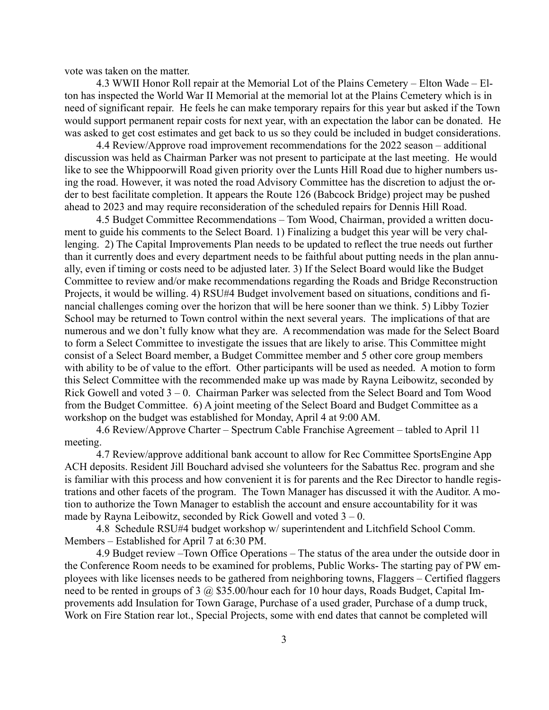vote was taken on the matter.

 4.3 WWII Honor Roll repair at the Memorial Lot of the Plains Cemetery – Elton Wade – Elton has inspected the World War II Memorial at the memorial lot at the Plains Cemetery which is in need of significant repair. He feels he can make temporary repairs for this year but asked if the Town would support permanent repair costs for next year, with an expectation the labor can be donated. He was asked to get cost estimates and get back to us so they could be included in budget considerations.

 4.4 Review/Approve road improvement recommendations for the 2022 season – additional discussion was held as Chairman Parker was not present to participate at the last meeting. He would like to see the Whippoorwill Road given priority over the Lunts Hill Road due to higher numbers using the road. However, it was noted the road Advisory Committee has the discretion to adjust the order to best facilitate completion. It appears the Route 126 (Babcock Bridge) project may be pushed ahead to 2023 and may require reconsideration of the scheduled repairs for Dennis Hill Road.

 4.5 Budget Committee Recommendations – Tom Wood, Chairman, provided a written document to guide his comments to the Select Board. 1) Finalizing a budget this year will be very challenging. 2) The Capital Improvements Plan needs to be updated to reflect the true needs out further than it currently does and every department needs to be faithful about putting needs in the plan annually, even if timing or costs need to be adjusted later. 3) If the Select Board would like the Budget Committee to review and/or make recommendations regarding the Roads and Bridge Reconstruction Projects, it would be willing. 4) RSU#4 Budget involvement based on situations, conditions and financial challenges coming over the horizon that will be here sooner than we think. 5) Libby Tozier School may be returned to Town control within the next several years. The implications of that are numerous and we don't fully know what they are. A recommendation was made for the Select Board to form a Select Committee to investigate the issues that are likely to arise. This Committee might consist of a Select Board member, a Budget Committee member and 5 other core group members with ability to be of value to the effort. Other participants will be used as needed. A motion to form this Select Committee with the recommended make up was made by Rayna Leibowitz, seconded by Rick Gowell and voted 3 – 0. Chairman Parker was selected from the Select Board and Tom Wood from the Budget Committee. 6) A joint meeting of the Select Board and Budget Committee as a workshop on the budget was established for Monday, April 4 at 9:00 AM.

 4.6 Review/Approve Charter – Spectrum Cable Franchise Agreement – tabled to April 11 meeting.

 4.7 Review/approve additional bank account to allow for Rec Committee SportsEngine App ACH deposits. Resident Jill Bouchard advised she volunteers for the Sabattus Rec. program and she is familiar with this process and how convenient it is for parents and the Rec Director to handle registrations and other facets of the program. The Town Manager has discussed it with the Auditor. A motion to authorize the Town Manager to establish the account and ensure accountability for it was made by Rayna Leibowitz, seconded by Rick Gowell and voted  $3 - 0$ .

 4.8 Schedule RSU#4 budget workshop w/ superintendent and Litchfield School Comm. Members – Established for April 7 at 6:30 PM.

 4.9 Budget review –Town Office Operations – The status of the area under the outside door in the Conference Room needs to be examined for problems, Public Works- The starting pay of PW employees with like licenses needs to be gathered from neighboring towns, Flaggers – Certified flaggers need to be rented in groups of 3 @ \$35.00/hour each for 10 hour days, Roads Budget, Capital Improvements add Insulation for Town Garage, Purchase of a used grader, Purchase of a dump truck, Work on Fire Station rear lot., Special Projects, some with end dates that cannot be completed will